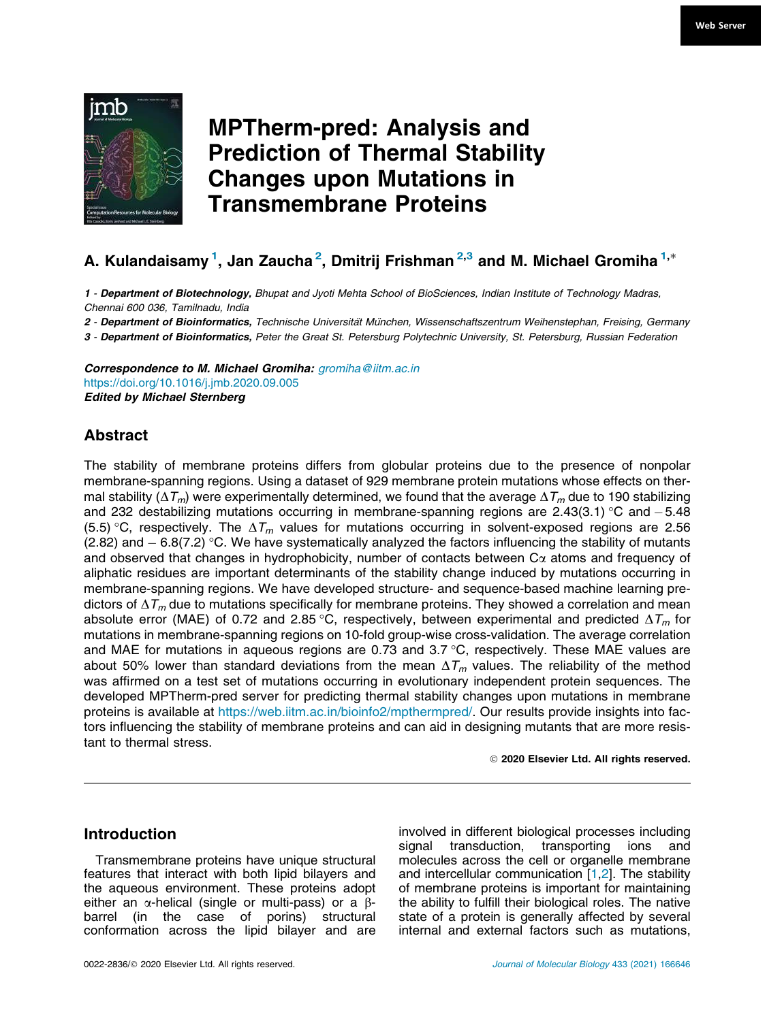

# MPTherm-pred: Analysis and Prediction of Thermal Stability Changes upon Mutations in Transmembrane Proteins

# A. Kulandaisamy  $^1$ , Jan Zaucha $^2$ , Dmitrij Frishman $^{\mathrm{2,3}}$  and M. Michael Gromiha  $^{\mathrm{1,*}}$

*1* - *Department of Biotechnology,* Bhupat and Jyoti Mehta School of BioSciences, Indian Institute of Technology Madras, Chennai 600 036, Tamilnadu, India

*2* - *Department of Bioinformatics,* Technische Universita¨t Mu¨nchen, Wissenschaftszentrum Weihenstephan, Freising, Germany

*3* - *Department of Bioinformatics,* Peter the Great St. Petersburg Polytechnic University, St. Petersburg, Russian Federation

*Correspondence to M. Michael Gromiha:* gromiha@iitm.ac.in https://doi.org/10.1016/j.jmb.2020.09.005 *Edited by Michael Sternberg*

# Abstract

The stability of membrane proteins differs from globular proteins due to the presence of nonpolar membrane-spanning regions. Using a dataset of 929 membrane protein mutations whose effects on thermal stability ( $\Delta T_m$ ) were experimentally determined, we found that the average  $\Delta T_m$  due to 190 stabilizing and 232 destabilizing mutations occurring in membrane-spanning regions are 2.43(3.1) °C and  $-5.48$ (5.5) °C, respectively. The  $\Delta T_m$  values for mutations occurring in solvent-exposed regions are 2.56 (2.82) and  $-$  6.8(7.2) °C. We have systematically analyzed the factors influencing the stability of mutants and observed that changes in hydrophobicity, number of contacts between  $C\alpha$  atoms and frequency of aliphatic residues are important determinants of the stability change induced by mutations occurring in membrane-spanning regions. We have developed structure- and sequence-based machine learning predictors of  $\Delta T_m$  due to mutations specifically for membrane proteins. They showed a correlation and mean absolute error (MAE) of 0.72 and 2.85 °C, respectively, between experimental and predicted  $\Delta T_m$  for mutations in membrane-spanning regions on 10-fold group-wise cross-validation. The average correlation and MAE for mutations in aqueous regions are 0.73 and  $3.7 \degree C$ , respectively. These MAE values are about 50% lower than standard deviations from the mean  $\Delta T_m$  values. The reliability of the method was affirmed on a test set of mutations occurring in evolutionary independent protein sequences. The developed MPTherm-pred server for predicting thermal stability changes upon mutations in membrane proteins is available at https://web.iitm.ac.in/bioinfo2/mpthermpred/. Our results provide insights into factors influencing the stability of membrane proteins and can aid in designing mutants that are more resistant to thermal stress.

2020 Elsevier Ltd. All rights reserved.

# Introduction

Transmembrane proteins have unique structural features that interact with both lipid bilayers and the aqueous environment. These proteins adopt either an  $\alpha$ -helical (single or multi-pass) or a  $\beta$ barrel (in the case of porins) structural conformation across the lipid bilayer and are involved in different biological processes including signal transduction, transporting ions and molecules across the cell or organelle membrane and intercellular communication  $[1,2]$ . The stability of membrane proteins is important for maintaining the ability to fulfill their biological roles. The native state of a protein is generally affected by several internal and external factors such as mutations,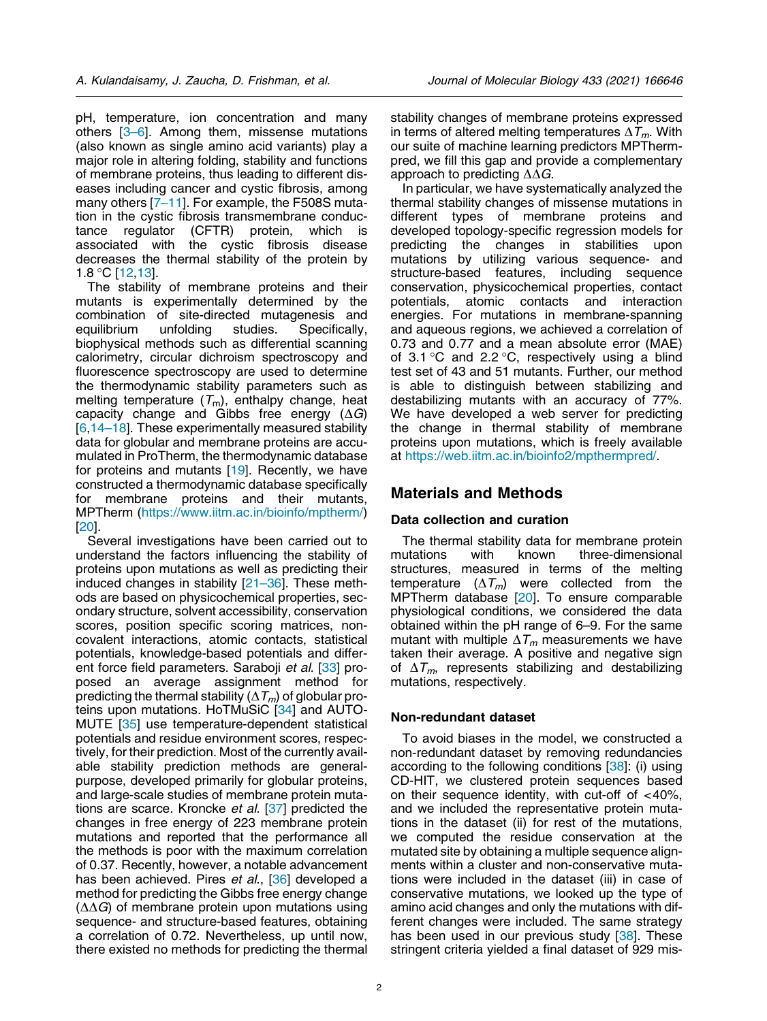pH, temperature, ion concentration and many others [3–6]. Among them, missense mutations (also known as single amino acid variants) play a major role in altering folding, stability and functions of membrane proteins, thus leading to different diseases including cancer and cystic fibrosis, among many others [7–11]. For example, the F508S mutation in the cystic fibrosis transmembrane conductance regulator (CFTR) protein, which associated with the cystic fibrosis disease decreases the thermal stability of the protein by  $1.8 \text{ °C}$  [12,13].

The stability of membrane proteins and their mutants is experimentally determined by the combination of site-directed mutagenesis and equilibrium unfolding studies. Specifically, biophysical methods such as differential scanning calorimetry, circular dichroism spectroscopy and fluorescence spectroscopy are used to determine the thermodynamic stability parameters such as melting temperature  $(\mathcal{T}_m)$ , enthalpy change, heat capacity change and Gibbs free energy  $(\Delta G)$ [6,14–18]. These experimentally measured stability data for globular and membrane proteins are accumulated in ProTherm, the thermodynamic database for proteins and mutants [19]. Recently, we have constructed a thermodynamic database specifically for membrane proteins and their mutants, MPTherm (https://www.iitm.ac.in/bioinfo/mptherm/) [20].

Several investigations have been carried out to understand the factors influencing the stability of proteins upon mutations as well as predicting their induced changes in stability [21–36]. These methods are based on physicochemical properties, secondary structure, solvent accessibility, conservation scores, position specific scoring matrices, noncovalent interactions, atomic contacts, statistical potentials, knowledge-based potentials and different force field parameters. Saraboji et al. [33] proposed an average assignment method for predicting the thermal stability ( $\Delta T_m$ ) of globular proteins upon mutations. HoTMuSiC [34] and AUTO-MUTE [35] use temperature-dependent statistical potentials and residue environment scores, respectively, for their prediction. Most of the currently available stability prediction methods are generalpurpose, developed primarily for globular proteins, and large-scale studies of membrane protein mutations are scarce. Kroncke et al. [37] predicted the changes in free energy of 223 membrane protein mutations and reported that the performance all the methods is poor with the maximum correlation of 0.37. Recently, however, a notable advancement has been achieved. Pires et al., [36] developed a method for predicting the Gibbs free energy change  $(\Delta \Delta G)$  of membrane protein upon mutations using sequence- and structure-based features, obtaining a correlation of 0.72. Nevertheless, up until now, there existed no methods for predicting the thermal stability changes of membrane proteins expressed in terms of altered melting temperatures  $\Delta T_m$ . With our suite of machine learning predictors MPThermpred, we fill this gap and provide a complementary approach to predicting  $\Delta\Delta G$ .

In particular, we have systematically analyzed the thermal stability changes of missense mutations in different types of membrane proteins and developed topology-specific regression models for predicting the changes in stabilities upon mutations by utilizing various sequence- and structure-based features, including sequence conservation, physicochemical properties, contact potentials, atomic contacts and interaction energies. For mutations in membrane-spanning and aqueous regions, we achieved a correlation of 0.73 and 0.77 and a mean absolute error (MAE) of 3.1 °C and 2.2 °C, respectively using a blind test set of 43 and 51 mutants. Further, our method is able to distinguish between stabilizing and destabilizing mutants with an accuracy of 77%. We have developed a web server for predicting the change in thermal stability of membrane proteins upon mutations, which is freely available at https://web.iitm.ac.in/bioinfo2/mpthermpred/.

## Materials and Methods

## Data collection and curation

The thermal stability data for membrane protein<br>mutations with known three-dimensional three-dimensional structures, measured in terms of the melting temperature  $(\Delta T_m)$  were collected from the MPTherm database [20]. To ensure comparable physiological conditions, we considered the data obtained within the pH range of 6–9. For the same mutant with multiple  $\Delta T_m$  measurements we have taken their average. A positive and negative sign of  $\Delta T_m$ , represents stabilizing and destabilizing mutations, respectively.

## Non-redundant dataset

To avoid biases in the model, we constructed a non-redundant dataset by removing redundancies according to the following conditions [38]: (i) using CD-HIT, we clustered protein sequences based on their sequence identity, with cut-off of <40%, and we included the representative protein mutations in the dataset (ii) for rest of the mutations, we computed the residue conservation at the mutated site by obtaining a multiple sequence alignments within a cluster and non-conservative mutations were included in the dataset (iii) in case of conservative mutations, we looked up the type of amino acid changes and only the mutations with different changes were included. The same strategy has been used in our previous study [38]. These stringent criteria yielded a final dataset of 929 mis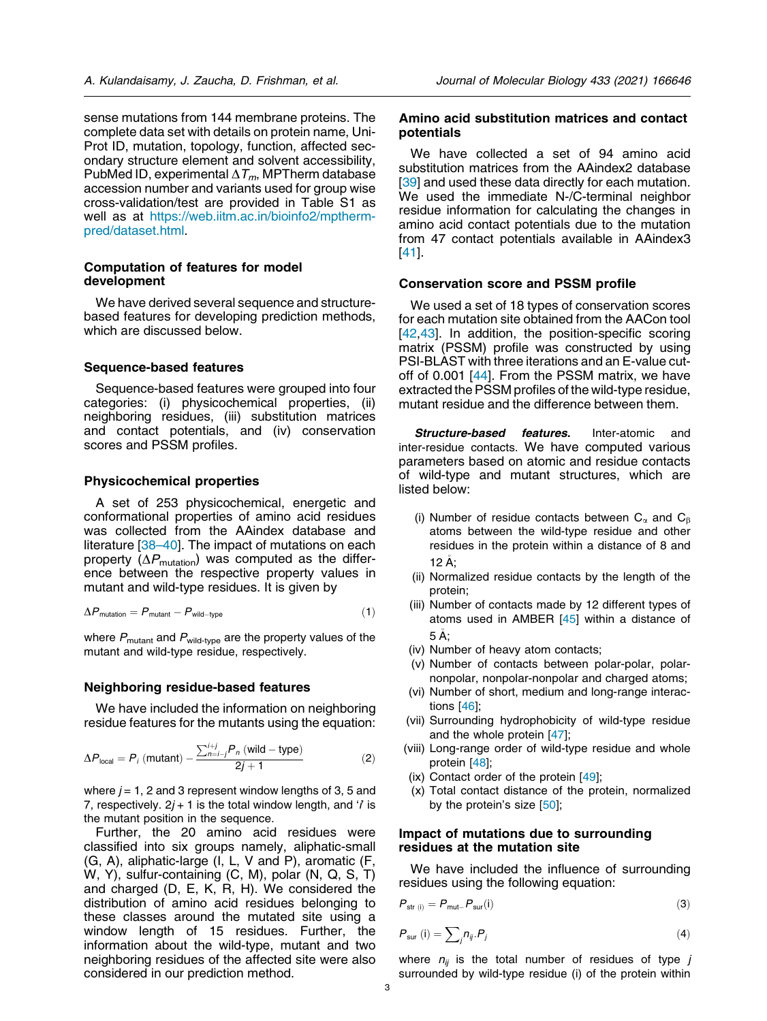sense mutations from 144 membrane proteins. The complete data set with details on protein name, Uni-Prot ID, mutation, topology, function, affected secondary structure element and solvent accessibility, PubMed ID, experimental  $\Delta T_m$ , MPTherm database accession number and variants used for group wise cross-validation/test are provided in Table S1 as well as at https://web.iitm.ac.in/bioinfo2/mpthermpred/dataset.html.

## Computation of features for model development

We have derived several sequence and structurebased features for developing prediction methods, which are discussed below.

## Sequence-based features

Sequence-based features were grouped into four categories: (i) physicochemical properties, (ii) neighboring residues, (iii) substitution matrices and contact potentials, and (iv) conservation scores and PSSM profiles.

#### Physicochemical properties

A set of 253 physicochemical, energetic and conformational properties of amino acid residues was collected from the AAindex database and literature [38–40]. The impact of mutations on each property ( $\Delta P_{\text{mutation}}$ ) was computed as the difference between the respective property values in mutant and wild-type residues. It is given by

$$
\Delta P_{\text{mutation}} = P_{\text{mutant}} - P_{\text{wild-type}} \tag{1}
$$

where  $P_{\text{mutant}}$  and  $P_{\text{wild-type}}$  are the property values of the mutant and wild-type residue, respectively.

## Neighboring residue-based features

We have included the information on neighboring residue features for the mutants using the equation:

$$
\Delta P_{\text{local}} = P_i \text{ (mutant)} - \frac{\sum_{n=i-j}^{i+j} P_n \text{ (wild–type)}}{2j+1} \tag{2}
$$

where  $j = 1$ , 2 and 3 represent window lengths of 3, 5 and 7, respectively.  $2j + 1$  is the total window length, and '*i*' is the mutant position in the sequence.

Further, the 20 amino acid residues were classified into six groups namely, aliphatic-small (G, A), aliphatic-large (I, L, V and P), aromatic (F, W, Y), sulfur-containing (C, M), polar (N, Q, S, T) and charged (D, E, K, R, H). We considered the distribution of amino acid residues belonging to these classes around the mutated site using a window length of 15 residues. Further, the information about the wild-type, mutant and two neighboring residues of the affected site were also considered in our prediction method.

#### Amino acid substitution matrices and contact potentials

We have collected a set of 94 amino acid substitution matrices from the AAindex2 database [39] and used these data directly for each mutation. We used the immediate N-/C-terminal neighbor residue information for calculating the changes in amino acid contact potentials due to the mutation from 47 contact potentials available in AAindex3 [41].

## Conservation score and PSSM profile

We used a set of 18 types of conservation scores for each mutation site obtained from the AACon tool [42,43]. In addition, the position-specific scoring matrix (PSSM) profile was constructed by using PSI-BLAST with three iterations and an E-value cutoff of 0.001 [44]. From the PSSM matrix, we have extracted the PSSM profiles of the wild-type residue, mutant residue and the difference between them.

*Structure-based features.* Inter-atomic and inter-residue contacts. We have computed various parameters based on atomic and residue contacts of wild-type and mutant structures, which are listed below:

- (i) Number of residue contacts between  $C_\alpha$  and  $C_\beta$ atoms between the wild-type residue and other residues in the protein within a distance of 8 and <sup>12</sup> A;
- (ii) Normalized residue contacts by the length of the protein;
- (iii) Number of contacts made by 12 different types of atoms used in AMBER [45] within a distance of <sup>5</sup> A;
- (iv) Number of heavy atom contacts;
- (v) Number of contacts between polar-polar, polarnonpolar, nonpolar-nonpolar and charged atoms;
- (vi) Number of short, medium and long-range interactions [46];
- (vii) Surrounding hydrophobicity of wild-type residue and the whole protein [47];
- (viii) Long-range order of wild-type residue and whole protein [48];
- (ix) Contact order of the protein [49];
- (x) Total contact distance of the protein, normalized by the protein's size [50];

#### Impact of mutations due to surrounding residues at the mutation site

We have included the influence of surrounding residues using the following equation:

$$
P_{\text{str (i)}} = P_{\text{mut}} - P_{\text{sur}}(i) \tag{3}
$$

$$
P_{\text{sur}}\left(\mathbf{i}\right) = \sum_{j} n_{ij} P_j \tag{4}
$$

where  $n_{ij}$  is the total number of residues of type j surrounded by wild-type residue (i) of the protein within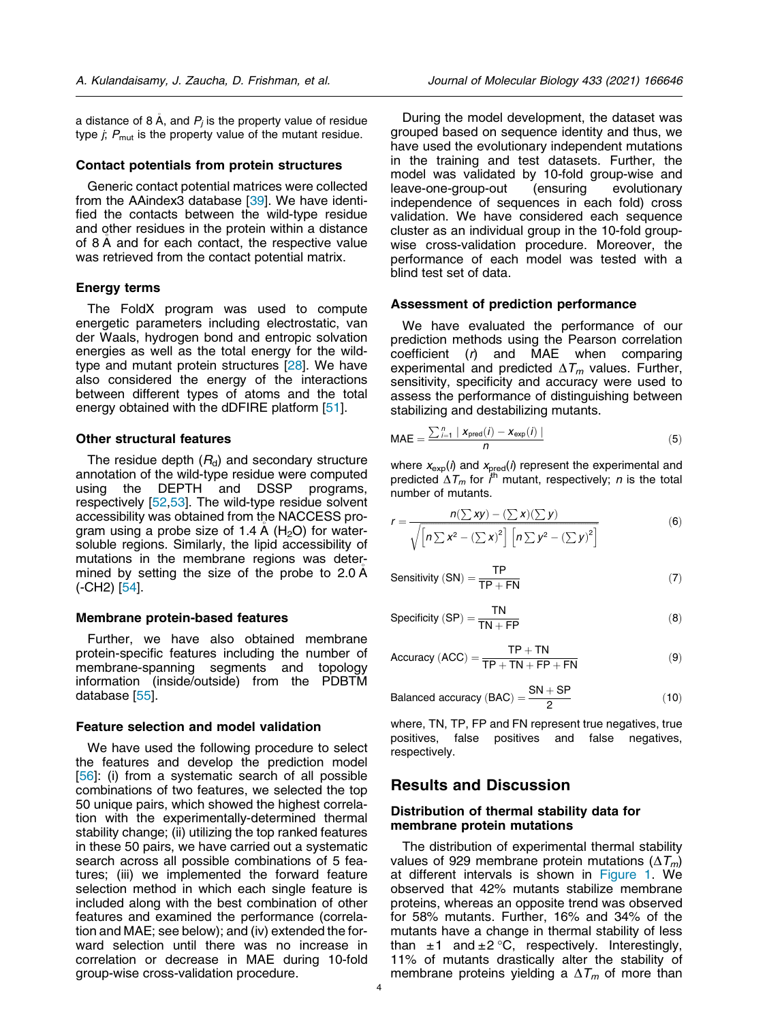a distance of 8 Å, and  $P_j$  is the property value of residue type  $j$ ;  $P_{\text{mut}}$  is the property value of the mutant residue.

#### Contact potentials from protein structures

Generic contact potential matrices were collected from the AAindex3 database [39]. We have identified the contacts between the wild-type residue and other residues in the protein within a distance of 8 A and for each contact, the respective value was retrieved from the contact potential matrix.

#### Energy terms

The FoldX program was used to compute energetic parameters including electrostatic, van der Waals, hydrogen bond and entropic solvation energies as well as the total energy for the wildtype and mutant protein structures [28]. We have also considered the energy of the interactions between different types of atoms and the total energy obtained with the dDFIRE platform [51].

#### Other structural features

The residue depth  $(R_d)$  and secondary structure annotation of the wild-type residue were computed using the DEPTH and DSSP programs, respectively [52,53]. The wild-type residue solvent accessibility was obtained from the NACCESS program using a probe size of 1.4 A  $(H_2O)$  for watersoluble regions. Similarly, the lipid accessibility of mutations in the membrane regions was determined by setting the size of the probe to 2.0 <sup>A</sup> (-CH2) [54].

#### Membrane protein-based features

Further, we have also obtained membrane protein-specific features including the number of membrane-spanning segments and topology information (inside/outside) from the PDBTM database [55].

#### Feature selection and model validation

We have used the following procedure to select the features and develop the prediction model [56]: (i) from a systematic search of all possible combinations of two features, we selected the top 50 unique pairs, which showed the highest correlation with the experimentally-determined thermal stability change; (ii) utilizing the top ranked features in these 50 pairs, we have carried out a systematic search across all possible combinations of 5 features; (iii) we implemented the forward feature selection method in which each single feature is included along with the best combination of other features and examined the performance (correlation and MAE; see below); and (iv) extended the forward selection until there was no increase in correlation or decrease in MAE during 10-fold group-wise cross-validation procedure.

During the model development, the dataset was grouped based on sequence identity and thus, we have used the evolutionary independent mutations in the training and test datasets. Further, the model was validated by 10-fold group-wise and<br>leave-one-group-out (ensuring evolutionary leave-one-group-out (ensuring evolutionary independence of sequences in each fold) cross validation. We have considered each sequence cluster as an individual group in the 10-fold groupwise cross-validation procedure. Moreover, the performance of each model was tested with a blind test set of data.

#### Assessment of prediction performance

We have evaluated the performance of our prediction methods using the Pearson correlation coefficient  $(r)$  and MAE when comparing experimental and predicted  $\Delta T_m$  values. Further, sensitivity, specificity and accuracy were used to assess the performance of distinguishing between stabilizing and destabilizing mutants.

$$
MAE = \frac{\sum_{i=1}^{n} |x_{\text{pred}}(i) - x_{\text{exp}}(i)|}{n}
$$
(5)

where  $x_{exp}(i)$  and  $x_{pred}(i)$  represent the experimental and predicted  $\Delta T_m$  for  $i^{\text{th}}$  mutant, respectively; n is the total number of mutants.

$$
r = \frac{n(\sum xy) - (\sum x)(\sum y)}{\sqrt{\left[n\sum x^2 - (\sum x)^2\right]\left[n\sum y^2 - (\sum y)^2\right]}}
$$
(6)

$$
Sensitivity (SN) = \frac{TP}{TP + FN}
$$
 (7)

$$
Specificity (SP) = \frac{TN}{TN + FP}
$$
 (8)

$$
Accuracy (ACC) = \frac{TP + TN}{TP + TN + FP + FN}
$$
 (9)

Balanced accuracy (BAC) = 
$$
\frac{SN + SP}{2}
$$
 (10)

where, TN, TP, FP and FN represent true negatives, true positives, false positives and false negatives, respectively.

## Results and Discussion

## Distribution of thermal stability data for membrane protein mutations

The distribution of experimental thermal stability values of 929 membrane protein mutations ( $\Delta T_m$ ) at different intervals is shown in Figure 1. We observed that 42% mutants stabilize membrane proteins, whereas an opposite trend was observed for 58% mutants. Further, 16% and 34% of the mutants have a change in thermal stability of less than  $\pm 1$  and  $\pm 2$  °C, respectively. Interestingly, 11% of mutants drastically alter the stability of membrane proteins yielding a  $\Delta T_m$  of more than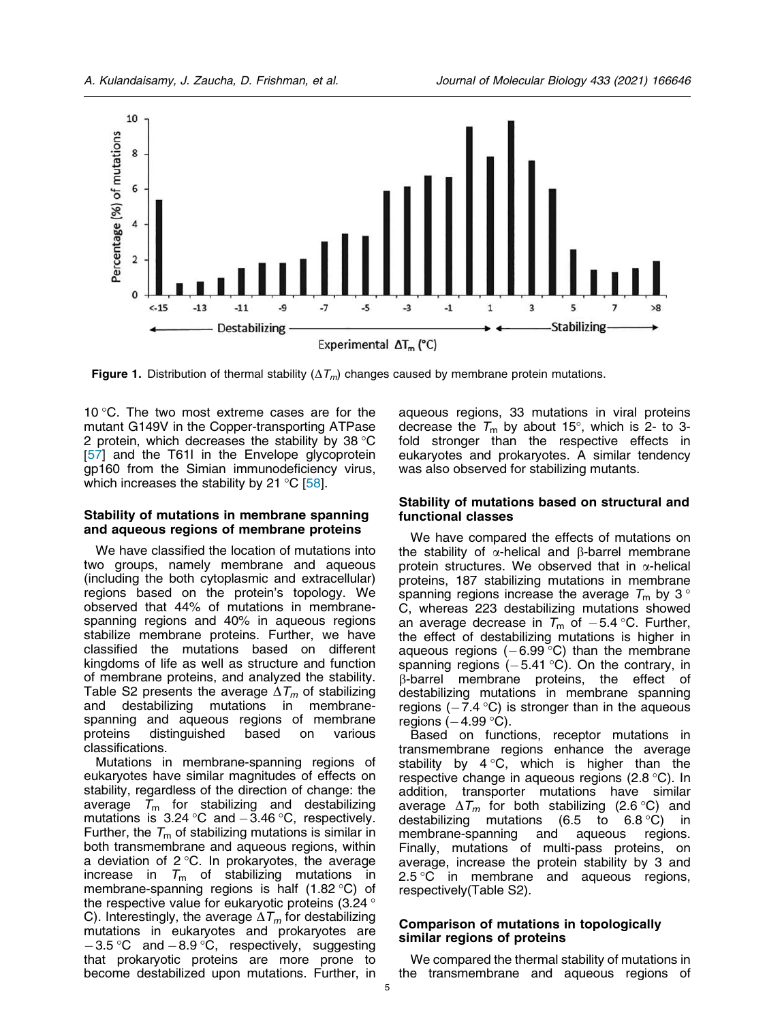

**Figure 1.** Distribution of thermal stability ( $\Delta T_m$ ) changes caused by membrane protein mutations.

10 $\degree$ C. The two most extreme cases are for the mutant G149V in the Copper-transporting ATPase 2 protein, which decreases the stability by 38  $\degree$ C [57] and the T61I in the Envelope glycoprotein gp160 from the Simian immunodeficiency virus, which increases the stability by 21  $\mathrm{^{\circ}C}$  [58].

#### Stability of mutations in membrane spanning and aqueous regions of membrane proteins

We have classified the location of mutations into two groups, namely membrane and aqueous (including the both cytoplasmic and extracellular) regions based on the protein's topology. We observed that 44% of mutations in membranespanning regions and 40% in aqueous regions stabilize membrane proteins. Further, we have classified the mutations based on different kingdoms of life as well as structure and function of membrane proteins, and analyzed the stability. Table S2 presents the average  $\Delta T_m$  of stabilizing and destabilizing mutations in membranespanning and aqueous regions of membrane proteins distinguished based on various classifications.

Mutations in membrane-spanning regions of eukaryotes have similar magnitudes of effects on stability, regardless of the direction of change: the average  $T_m$  for stabilizing and destabilizing mutations is  $3.24 \degree C$  and  $-3.46 \degree C$ , respectively. Further, the  $T_m$  of stabilizing mutations is similar in both transmembrane and aqueous regions, within a deviation of  $2^{\circ}$ C. In prokaryotes, the average increase in  $T_m$  of stabilizing mutations in membrane-spanning regions is half  $(1.82 \degree C)$  of the respective value for eukaryotic proteins (3.24 ° C). Interestingly, the average  $\Delta T_m$  for destabilizing mutations in eukaryotes and prokaryotes are  $-3.5$  °C and  $-8.9$  °C, respectively, suggesting that prokaryotic proteins are more prone to become destabilized upon mutations. Further, in

aqueous regions, 33 mutations in viral proteins decrease the  $T_m$  by about 15°, which is 2- to 3fold stronger than the respective effects in eukaryotes and prokaryotes. A similar tendency was also observed for stabilizing mutants.

## Stability of mutations based on structural and functional classes

We have compared the effects of mutations on the stability of  $\alpha$ -helical and  $\beta$ -barrel membrane protein structures. We observed that in  $\alpha$ -helical proteins, 187 stabilizing mutations in membrane spanning regions increase the average  $T_m$  by 3° C, whereas 223 destabilizing mutations showed an average decrease in  $T_m$  of  $-5.4$  °C. Further, the effect of destabilizing mutations is higher in aqueous regions  $(-6.99 \degree C)$  than the membrane spanning regions  $(-5.41 \degree C)$ . On the contrary, in  $\beta$ -barrel membrane proteins, the effect of destabilizing mutations in membrane spanning regions  $(-7.4 \text{ °C})$  is stronger than in the aqueous regions  $(-4.99 \degree C)$ .

Based on functions, receptor mutations in transmembrane regions enhance the average stability by  $4^{\circ}C$ , which is higher than the respective change in aqueous regions (2.8  $^{\circ}$ C). In addition, transporter mutations have similar average  $\Delta T_m$  for both stabilizing (2.6 °C) and destabilizing mutations (6.5 to 6.8 °C) in (6.5 to 6.8 °C) in membrane-spanning and aqueous regions. Finally, mutations of multi-pass proteins, on average, increase the protein stability by 3 and  $2.5 \degree$ C in membrane and aqueous regions, respectively(Table S2).

## Comparison of mutations in topologically similar regions of proteins

We compared the thermal stability of mutations in the transmembrane and aqueous regions of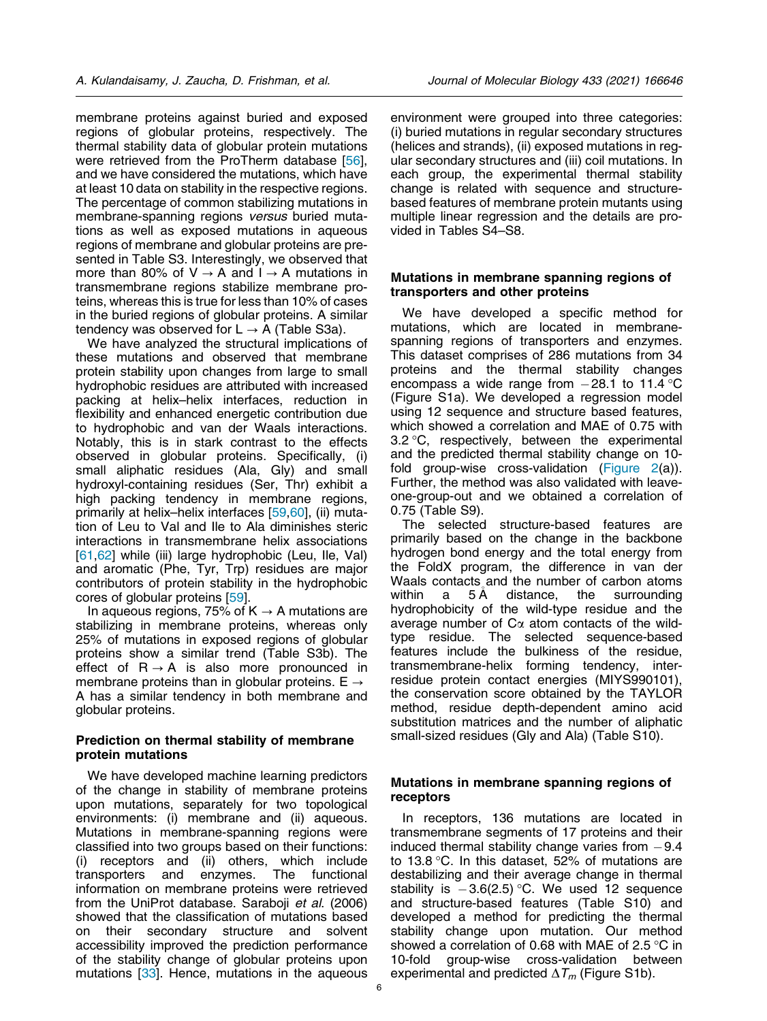membrane proteins against buried and exposed regions of globular proteins, respectively. The thermal stability data of globular protein mutations were retrieved from the ProTherm database [56], and we have considered the mutations, which have at least 10 data on stability in the respective regions. The percentage of common stabilizing mutations in membrane-spanning regions versus buried mutations as well as exposed mutations in aqueous regions of membrane and globular proteins are presented in Table S3. Interestingly, we observed that more than 80% of  $V \rightarrow A$  and  $I \rightarrow A$  mutations in transmembrane regions stabilize membrane proteins, whereas this is true for less than 10% of cases in the buried regions of globular proteins. A similar tendency was observed for  $L \rightarrow A$  (Table S3a).

We have analyzed the structural implications of these mutations and observed that membrane protein stability upon changes from large to small hydrophobic residues are attributed with increased packing at helix–helix interfaces, reduction in flexibility and enhanced energetic contribution due to hydrophobic and van der Waals interactions. Notably, this is in stark contrast to the effects observed in globular proteins. Specifically, (i) small aliphatic residues (Ala, Gly) and small hydroxyl-containing residues (Ser, Thr) exhibit a high packing tendency in membrane regions, primarily at helix–helix interfaces [59,60], (ii) mutation of Leu to Val and Ile to Ala diminishes steric interactions in transmembrane helix associations [61,62] while (iii) large hydrophobic (Leu, Ile, Val) and aromatic (Phe, Tyr, Trp) residues are major contributors of protein stability in the hydrophobic cores of globular proteins [59].

In aqueous regions, 75% of  $K \rightarrow A$  mutations are stabilizing in membrane proteins, whereas only 25% of mutations in exposed regions of globular proteins show a similar trend (Table S3b). The effect of  $R \rightarrow A$  is also more pronounced in membrane proteins than in globular proteins.  $E \rightarrow$ A has a similar tendency in both membrane and globular proteins.

## Prediction on thermal stability of membrane protein mutations

We have developed machine learning predictors of the change in stability of membrane proteins upon mutations, separately for two topological environments: (i) membrane and (ii) aqueous. Mutations in membrane-spanning regions were classified into two groups based on their functions: (i) receptors and (ii) others, which include transporters and enzymes. The functional transporters and enzymes. The functional information on membrane proteins were retrieved from the UniProt database. Saraboji et al. (2006) showed that the classification of mutations based on their secondary structure and solvent accessibility improved the prediction performance of the stability change of globular proteins upon mutations [33]. Hence, mutations in the aqueous

environment were grouped into three categories: (i) buried mutations in regular secondary structures (helices and strands), (ii) exposed mutations in regular secondary structures and (iii) coil mutations. In each group, the experimental thermal stability change is related with sequence and structurebased features of membrane protein mutants using multiple linear regression and the details are provided in Tables S4–S8.

## Mutations in membrane spanning regions of transporters and other proteins

We have developed a specific method for mutations, which are located in membranespanning regions of transporters and enzymes. This dataset comprises of 286 mutations from 34 proteins and the thermal stability changes encompass a wide range from  $-28.1$  to 11.4 °C (Figure S1a). We developed a regression model using 12 sequence and structure based features, which showed a correlation and MAE of 0.75 with 3.2  $\degree$ C, respectively, between the experimental and the predicted thermal stability change on 10 fold group-wise cross-validation (Figure 2(a)). Further, the method was also validated with leaveone-group-out and we obtained a correlation of 0.75 (Table S9).

The selected structure-based features are primarily based on the change in the backbone hydrogen bond energy and the total energy from the FoldX program, the difference in van der Waals contacts and the number of carbon atoms within a 5A distance, the surrounding hydrophobicity of the wild-type residue and the average number of  $C\alpha$  atom contacts of the wildtype residue. The selected sequence-based features include the bulkiness of the residue, transmembrane-helix forming tendency, interresidue protein contact energies (MIYS990101), the conservation score obtained by the TAYLOR method, residue depth-dependent amino acid substitution matrices and the number of aliphatic small-sized residues (Gly and Ala) (Table S10).

## Mutations in membrane spanning regions of receptors

In receptors, 136 mutations are located in transmembrane segments of 17 proteins and their induced thermal stability change varies from  $-9.4$ to 13.8  $\degree$ C. In this dataset, 52% of mutations are destabilizing and their average change in thermal stability is  $-3.6(2.5)$  °C. We used 12 sequence and structure-based features (Table S10) and developed a method for predicting the thermal stability change upon mutation. Our method showed a correlation of 0.68 with MAE of 2.5  $\degree$ C in 10-fold group-wise cross-validation between experimental and predicted  $\Delta T_m$  (Figure S1b).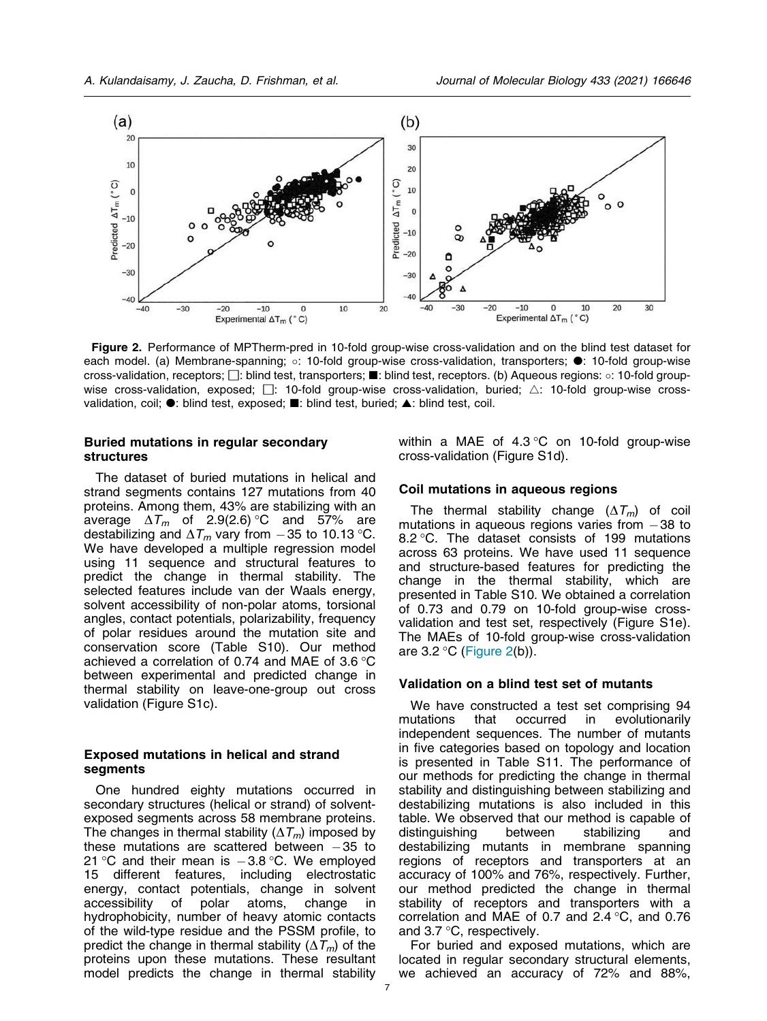

Figure 2. Performance of MPTherm-pred in 10-fold group-wise cross-validation and on the blind test dataset for each model. (a) Membrane-spanning; o: 10-fold group-wise cross-validation, transporters;  $\bullet$ : 10-fold group-wise cross-validation, receptors;  $\square$ : blind test, transporters;  $\blacksquare$ : blind test, receptors. (b) Aqueous regions: o: 10-fold groupwise cross-validation, exposed;  $□: 10$ -fold group-wise cross-validation, buried;  $∆: 10$ -fold group-wise crossvalidation, coil;  $\bullet$ : blind test, exposed;  $\blacksquare$ : blind test, buried;  $\blacktriangle$ : blind test, coil.

## Buried mutations in regular secondary structures

The dataset of buried mutations in helical and strand segments contains 127 mutations from 40 proteins. Among them, 43% are stabilizing with an average  $\Delta T_m$  of 2.9(2.6) °C and 57% are destabilizing and  $\Delta T_m$  vary from -35 to 10.13 °C. We have developed a multiple regression model using 11 sequence and structural features to predict the change in thermal stability. The selected features include van der Waals energy, solvent accessibility of non-polar atoms, torsional angles, contact potentials, polarizability, frequency of polar residues around the mutation site and conservation score (Table S10). Our method achieved a correlation of 0.74 and MAE of 3.6  $\degree$ C between experimental and predicted change in thermal stability on leave-one-group out cross validation (Figure S1c).

## Exposed mutations in helical and strand segments

One hundred eighty mutations occurred in secondary structures (helical or strand) of solventexposed segments across 58 membrane proteins. The changes in thermal stability ( $\Delta T_m$ ) imposed by these mutations are scattered between  $-35$  to 21 °C and their mean is  $-3.8$  °C. We employed 15 different features, including electrostatic energy, contact potentials, change in solvent accessibility of polar atoms, change in hydrophobicity, number of heavy atomic contacts of the wild-type residue and the PSSM profile, to predict the change in thermal stability ( $\Delta T_m$ ) of the proteins upon these mutations. These resultant model predicts the change in thermal stability

within a MAE of  $4.3\,^{\circ}\text{C}$  on 10-fold group-wise cross-validation (Figure S1d).

#### Coil mutations in aqueous regions

The thermal stability change  $(\Delta T_m)$  of coil mutations in aqueous regions varies from  $-38$  to 8.2 °C. The dataset consists of 199 mutations across 63 proteins. We have used 11 sequence and structure-based features for predicting the change in the thermal stability, which are presented in Table S10. We obtained a correlation of 0.73 and 0.79 on 10-fold group-wise crossvalidation and test set, respectively (Figure S1e). The MAEs of 10-fold group-wise cross-validation are  $3.2 \degree C$  (Figure 2(b)).

#### Validation on a blind test set of mutants

We have constructed a test set comprising 94 mutations that occurred in evolutionarily independent sequences. The number of mutants in five categories based on topology and location is presented in Table S11. The performance of our methods for predicting the change in thermal stability and distinguishing between stabilizing and destabilizing mutations is also included in this table. We observed that our method is capable of distinguishing between stabilizing and destabilizing mutants in membrane spanning regions of receptors and transporters at an accuracy of 100% and 76%, respectively. Further, our method predicted the change in thermal stability of receptors and transporters with a correlation and MAE of 0.7 and 2.4  $\degree$ C, and 0.76 and  $3.7 \degree C$ , respectively.

For buried and exposed mutations, which are located in regular secondary structural elements, we achieved an accuracy of 72% and 88%,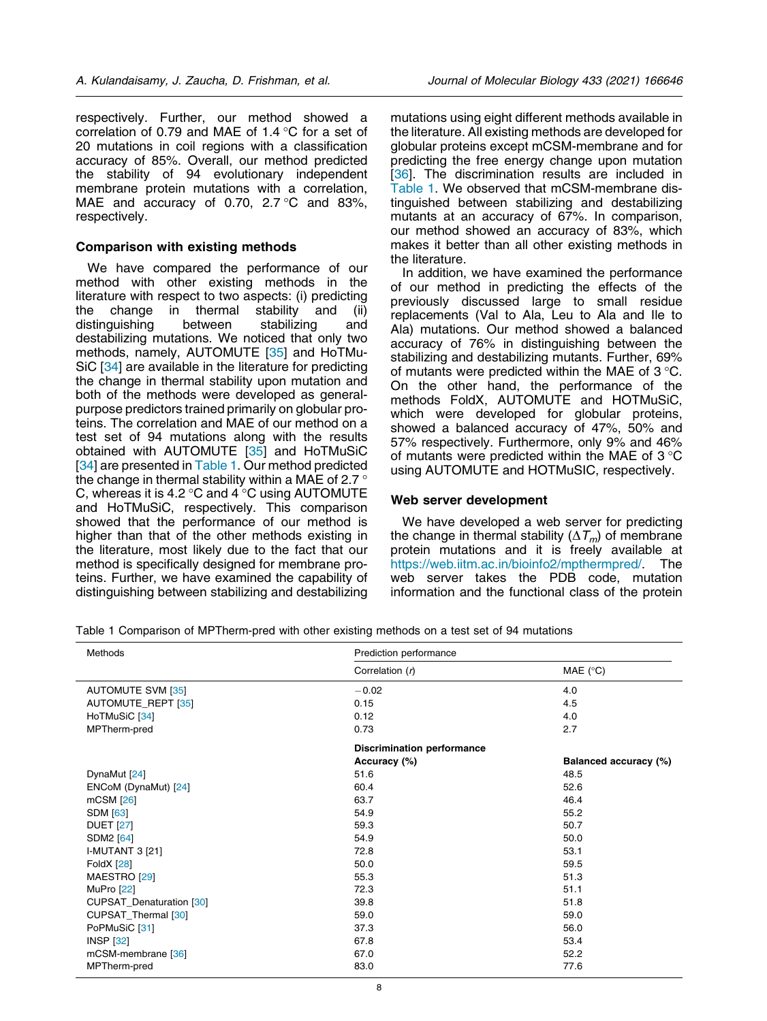respectively. Further, our method showed a correlation of 0.79 and MAE of 1.4  $\degree$ C for a set of 20 mutations in coil regions with a classification accuracy of 85%. Overall, our method predicted the stability of 94 evolutionary independent membrane protein mutations with a correlation, MAE and accuracy of 0.70, 2.7  $\degree$ C and 83%, respectively.

#### Comparison with existing methods

We have compared the performance of our method with other existing methods in the literature with respect to two aspects: (i) predicting<br>the change in thermal stability and (ii) the change in thermal stability and (ii) distinguishing between stabilizing and destabilizing mutations. We noticed that only two methods, namely, AUTOMUTE [35] and HoTMu-SiC [34] are available in the literature for predicting the change in thermal stability upon mutation and both of the methods were developed as generalpurpose predictors trained primarily on globular proteins. The correlation and MAE of our method on a test set of 94 mutations along with the results obtained with AUTOMUTE [35] and HoTMuSiC [34] are presented in Table 1. Our method predicted the change in thermal stability within a MAE of 2.7  $\degree$ C, whereas it is 4.2  $\degree$ C and 4  $\degree$ C using AUTOMUTE and HoTMuSiC, respectively. This comparison showed that the performance of our method is higher than that of the other methods existing in the literature, most likely due to the fact that our method is specifically designed for membrane proteins. Further, we have examined the capability of distinguishing between stabilizing and destabilizing

mutations using eight different methods available in the literature. All existing methods are developed for globular proteins except mCSM-membrane and for predicting the free energy change upon mutation [36]. The discrimination results are included in Table 1. We observed that mCSM-membrane distinguished between stabilizing and destabilizing mutants at an accuracy of 67%. In comparison, our method showed an accuracy of 83%, which makes it better than all other existing methods in the literature.

In addition, we have examined the performance of our method in predicting the effects of the previously discussed large to small residue replacements (Val to Ala, Leu to Ala and Ile to Ala) mutations. Our method showed a balanced accuracy of 76% in distinguishing between the stabilizing and destabilizing mutants. Further, 69% of mutants were predicted within the MAE of 3 °C. On the other hand, the performance of the methods FoldX, AUTOMUTE and HOTMuSiC, which were developed for globular proteins, showed a balanced accuracy of 47%, 50% and 57% respectively. Furthermore, only 9% and 46% of mutants were predicted within the MAE of  $3^{\circ}$ C using AUTOMUTE and HOTMuSIC, respectively.

#### Web server development

We have developed a web server for predicting the change in thermal stability ( $\Delta T_m$ ) of membrane protein mutations and it is freely available at https://web.iitm.ac.in/bioinfo2/mpthermpred/. The web server takes the PDB code, mutation information and the functional class of the protein

Table 1 Comparison of MPTherm-pred with other existing methods on a test set of 94 mutations

| Methods                  | Prediction performance            |                       |
|--------------------------|-----------------------------------|-----------------------|
|                          | Correlation (r)                   | MAE $(^{\circ}C)$     |
| <b>AUTOMUTE SVM [35]</b> | $-0.02$                           | 4.0                   |
| AUTOMUTE_REPT [35]       | 0.15                              | 4.5                   |
| HoTMuSiC [34]            | 0.12                              | 4.0                   |
| MPTherm-pred             | 0.73                              | 2.7                   |
|                          | <b>Discrimination performance</b> |                       |
|                          | Accuracy (%)                      | Balanced accuracy (%) |
| DynaMut [24]             | 51.6                              | 48.5                  |
| ENCoM (DynaMut) [24]     | 60.4                              | 52.6                  |
| mCSM [26]                | 63.7                              | 46.4                  |
| <b>SDM [63]</b>          | 54.9                              | 55.2                  |
| <b>DUET</b> [27]         | 59.3                              | 50.7                  |
| <b>SDM2</b> [64]         | 54.9                              | 50.0                  |
| <b>I-MUTANT 3 [21]</b>   | 72.8                              | 53.1                  |
| <b>FoldX</b> [28]        | 50.0                              | 59.5                  |
| MAESTRO [29]             | 55.3                              | 51.3                  |
| MuPro [22]               | 72.3                              | 51.1                  |
| CUPSAT_Denaturation [30] | 39.8                              | 51.8                  |
| CUPSAT_Thermal [30]      | 59.0                              | 59.0                  |
| PoPMuSiC [31]            | 37.3                              | 56.0                  |
| <b>INSP [32]</b>         | 67.8                              | 53.4                  |
| mCSM-membrane [36]       | 67.0                              | 52.2                  |
| MPTherm-pred             | 83.0                              | 77.6                  |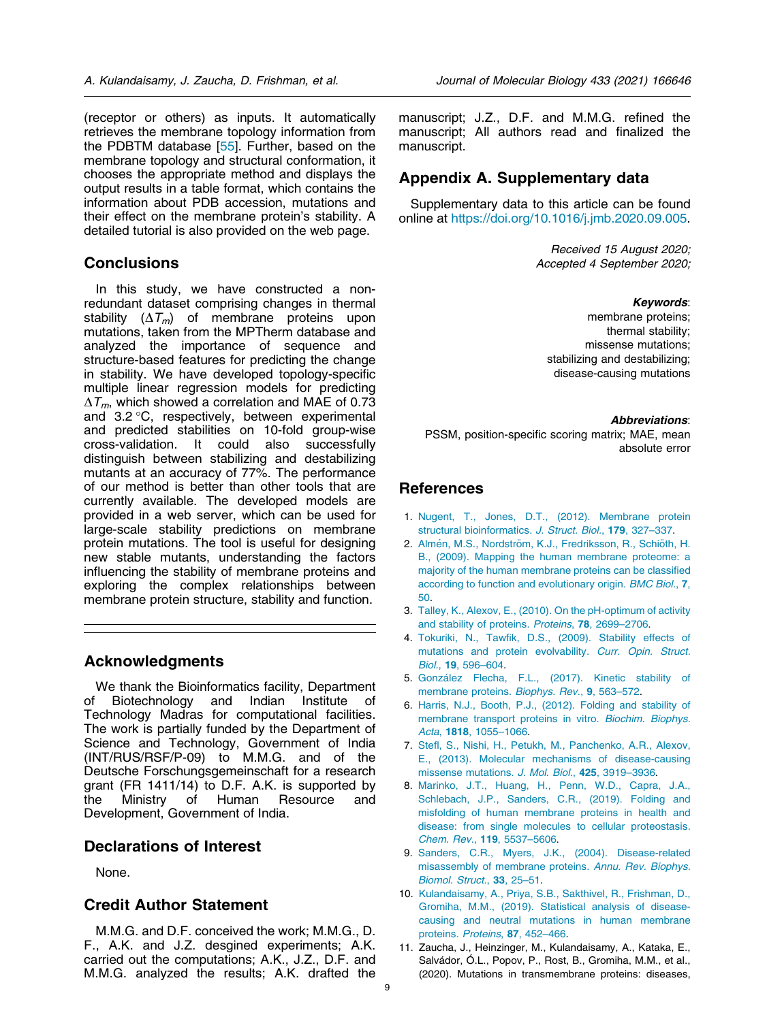(receptor or others) as inputs. It automatically retrieves the membrane topology information from the PDBTM database [55]. Further, based on the membrane topology and structural conformation, it chooses the appropriate method and displays the output results in a table format, which contains the information about PDB accession, mutations and their effect on the membrane protein's stability. A detailed tutorial is also provided on the web page.

## **Conclusions**

In this study, we have constructed a nonredundant dataset comprising changes in thermal stability  $(\Delta T_m)$  of membrane proteins upon mutations, taken from the MPTherm database and analyzed the importance of sequence and structure-based features for predicting the change in stability. We have developed topology-specific multiple linear regression models for predicting  $\Delta T_m$ , which showed a correlation and MAE of 0.73 and  $3.2 \degree C$ , respectively, between experimental and predicted stabilities on 10-fold group-wise cross-validation. It could also successfully distinguish between stabilizing and destabilizing mutants at an accuracy of 77%. The performance of our method is better than other tools that are currently available. The developed models are provided in a web server, which can be used for large-scale stability predictions on membrane protein mutations. The tool is useful for designing new stable mutants, understanding the factors influencing the stability of membrane proteins and exploring the complex relationships between membrane protein structure, stability and function.

## Acknowledgments

We thank the Bioinformatics facility, Department of Biotechnology and Indian Institute of Technology Madras for computational facilities. The work is partially funded by the Department of Science and Technology, Government of India (INT/RUS/RSF/P-09) to M.M.G. and of the Deutsche Forschungsgemeinschaft for a research grant (FR 1411/14) to D.F. A.K. is supported by the Ministry of Human Resource and Development, Government of India.

## Declarations of Interest

None.

# Credit Author Statement

M.M.G. and D.F. conceived the work; M.M.G., D. F., A.K. and J.Z. desgined experiments; A.K. carried out the computations; A.K., J.Z., D.F. and M.M.G. analyzed the results; A.K. drafted the

manuscript; J.Z., D.F. and M.M.G. refined the manuscript; All authors read and finalized the manuscript.

# Appendix A. Supplementary data

Supplementary data to this article can be found online at https://doi.org/10.1016/j.jmb.2020.09.005.

> Received 15 August 2020; Accepted 4 September 2020;

#### *Keywords*:

membrane proteins; thermal stability; missense mutations; stabilizing and destabilizing; disease-causing mutations

#### *Abbreviations*:

PSSM, position-specific scoring matrix; MAE, mean absolute error

## References

- 1. Nugent, T., Jones, D.T., (2012). Membrane protein structural bioinformatics. J. Struct. Biol., 179, 327–337.
- 2. Almén, M.S., Nordström, K.J., Fredriksson, R., Schiöth, H. B., (2009). Mapping the human membrane proteome: a majority of the human membrane proteins can be classified according to function and evolutionary origin. BMC Biol., 7, 50.
- 3. Talley, K., Alexov, E., (2010). On the pH-optimum of activity and stability of proteins. Proteins, 78, 2699–2706.
- 4. Tokuriki, N., Tawfik, D.S., (2009). Stability effects of mutations and protein evolvability. Curr. Opin. Struct. Biol., 19, 596–604.
- 5. González Flecha, F.L., (2017). Kinetic stability of membrane proteins. Biophys. Rev., 9, 563-572.
- 6. Harris, N.J., Booth, P.J., (2012). Folding and stability of membrane transport proteins in vitro. Biochim. Biophys. Acta, 1818, 1055–1066.
- 7. Stefl, S., Nishi, H., Petukh, M., Panchenko, A.R., Alexov, E., (2013). Molecular mechanisms of disease-causing missense mutations. J. Mol. Biol., 425, 3919–3936.
- 8. Marinko, J.T., Huang, H., Penn, W.D., Capra, J.A., Schlebach, J.P., Sanders, C.R., (2019). Folding and misfolding of human membrane proteins in health and disease: from single molecules to cellular proteostasis. Chem. Rev., 119, 5537–5606.
- 9. Sanders, C.R., Myers, J.K., (2004). Disease-related misassembly of membrane proteins. Annu. Rev. Biophys. Biomol. Struct., 33, 25–51.
- 10. Kulandaisamy, A., Priya, S.B., Sakthivel, R., Frishman, D., Gromiha, M.M., (2019). Statistical analysis of diseasecausing and neutral mutations in human membrane proteins. Proteins, 87, 452–466.
- 11. Zaucha, J., Heinzinger, M., Kulandaisamy, A., Kataka, E., Salvádor, Ó.L., Popov, P., Rost, B., Gromiha, M.M., et al., (2020). Mutations in transmembrane proteins: diseases,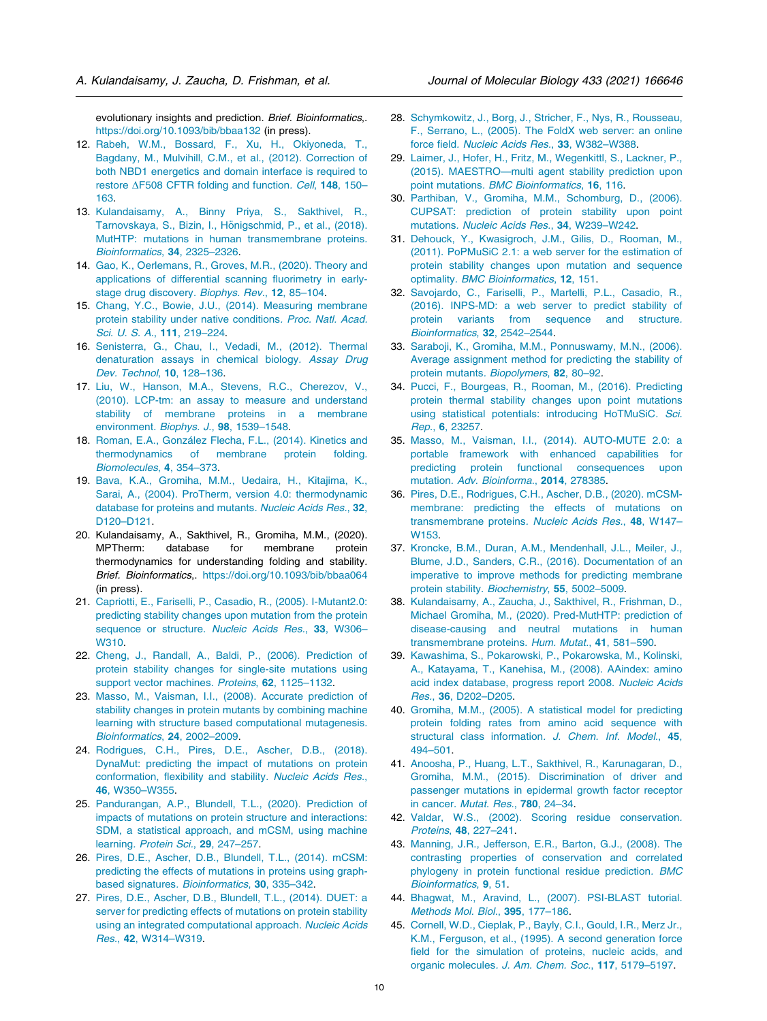evolutionary insights and prediction. Brief. Bioinformatics,. https://doi.org/10.1093/bib/bbaa132 (in press).

- 12. Rabeh, W.M., Bossard, F., Xu, H., Okiyoneda, T., Bagdany, M., Mulvihill, C.M., et al., (2012). Correction of both NBD1 energetics and domain interface is required to restore  $\triangle$ F508 CFTR folding and function. Cell, 148, 150– 163.
- 13. Kulandaisamy, A., Binny Priya, S., Sakthivel, R., Tarnovskaya, S., Bizin, I., Hönigschmid, P., et al., (2018). MutHTP: mutations in human transmembrane proteins. Bioinformatics, 34, 2325–2326.
- 14. Gao, K., Oerlemans, R., Groves, M.R., (2020). Theory and applications of differential scanning fluorimetry in earlystage drug discovery. Biophys. Rev., 12, 85–104.
- 15. Chang, Y.C., Bowie, J.U., (2014). Measuring membrane protein stability under native conditions. Proc. Natl. Acad. Sci. U. S. A., 111, 219–224.
- 16. Senisterra, G., Chau, I., Vedadi, M., (2012). Thermal denaturation assays in chemical biology. Assay Drug Dev. Technol, 10, 128–136.
- 17. Liu, W., Hanson, M.A., Stevens, R.C., Cherezov, V., (2010). LCP-tm: an assay to measure and understand stability of membrane proteins in a membrane environment. Biophys. J., 98, 1539–1548.
- 18. Roman, E.A., González Flecha, F.L., (2014). Kinetics and thermodynamics of membrane protein folding. Biomolecules, 4, 354–373.
- 19. Bava, K.A., Gromiha, M.M., Uedaira, H., Kitajima, K., Sarai, A., (2004). ProTherm, version 4.0: thermodynamic database for proteins and mutants. Nucleic Acids Res., 32, D120–D121.
- 20. Kulandaisamy, A., Sakthivel, R., Gromiha, M.M., (2020). MPTherm: database for membrane protein thermodynamics for understanding folding and stability. Brief. Bioinformatics,. https://doi.org/10.1093/bib/bbaa064 (in press).
- 21. Capriotti, E., Fariselli, P., Casadio, R., (2005). I-Mutant2.0: predicting stability changes upon mutation from the protein sequence or structure. Nucleic Acids Res., 33, W306-W310.
- 22. Cheng, J., Randall, A., Baldi, P., (2006). Prediction of protein stability changes for single-site mutations using support vector machines. Proteins, 62, 1125–1132.
- 23. Masso, M., Vaisman, I.I., (2008). Accurate prediction of stability changes in protein mutants by combining machine learning with structure based computational mutagenesis. Bioinformatics, 24, 2002–2009.
- 24. Rodrigues, C.H., Pires, D.E., Ascher, D.B., (2018). DynaMut: predicting the impact of mutations on protein conformation, flexibility and stability. Nucleic Acids Res., 46, W350–W355.
- 25. Pandurangan, A.P., Blundell, T.L., (2020). Prediction of impacts of mutations on protein structure and interactions: SDM, a statistical approach, and mCSM, using machine learning. Protein Sci., 29, 247–257.
- 26. Pires, D.E., Ascher, D.B., Blundell, T.L., (2014). mCSM: predicting the effects of mutations in proteins using graphbased signatures. Bioinformatics, 30, 335–342.
- 27. Pires, D.E., Ascher, D.B., Blundell, T.L., (2014). DUET: a server for predicting effects of mutations on protein stability using an integrated computational approach. Nucleic Acids Res., 42, W314–W319.
- 28. Schymkowitz, J., Borg, J., Stricher, F., Nys, R., Rousseau, F., Serrano, L., (2005). The FoldX web server: an online force field. Nucleic Acids Res., 33, W382–W388.
- 29. Laimer, J., Hofer, H., Fritz, M., Wegenkittl, S., Lackner, P., (2015). MAESTRO—multi agent stability prediction upon point mutations. BMC Bioinformatics, 16, 116.
- 30. Parthiban, V., Gromiha, M.M., Schomburg, D., (2006). CUPSAT: prediction of protein stability upon point mutations. Nucleic Acids Res., 34, W239–W242.
- 31. Dehouck, Y., Kwasigroch, J.M., Gilis, D., Rooman, M., (2011). PoPMuSiC 2.1: a web server for the estimation of protein stability changes upon mutation and sequence optimality. BMC Bioinformatics, 12, 151.
- 32. Savojardo, C., Fariselli, P., Martelli, P.L., Casadio, R., (2016). INPS-MD: a web server to predict stability of protein variants from sequence and structure. Bioinformatics, 32, 2542–2544.
- 33. Saraboji, K., Gromiha, M.M., Ponnuswamy, M.N., (2006). Average assignment method for predicting the stability of protein mutants. Biopolymers, 82, 80–92.
- 34. Pucci, F., Bourgeas, R., Rooman, M., (2016). Predicting protein thermal stability changes upon point mutations using statistical potentials: introducing HoTMuSiC. Sci. Rep., 6, 23257.
- 35. Masso, M., Vaisman, I.I., (2014). AUTO-MUTE 2.0: a portable framework with enhanced capabilities for predicting protein functional consequences upon mutation. Adv. Bioinforma., 2014, 278385.
- 36. Pires, D.E., Rodrigues, C.H., Ascher, D.B., (2020). mCSMmembrane: predicting the effects of mutations on transmembrane proteins. Nucleic Acids Res., 48, W147– W153.
- 37. Kroncke, B.M., Duran, A.M., Mendenhall, J.L., Meiler, J., Blume, J.D., Sanders, C.R., (2016). Documentation of an imperative to improve methods for predicting membrane protein stability. Biochemistry, 55, 5002–5009.
- 38. Kulandaisamy, A., Zaucha, J., Sakthivel, R., Frishman, D., Michael Gromiha, M., (2020). Pred-MutHTP: prediction of disease-causing and neutral mutations in human transmembrane proteins. Hum. Mutat., 41, 581–590.
- 39. Kawashima, S., Pokarowski, P., Pokarowska, M., Kolinski, A., Katayama, T., Kanehisa, M., (2008). AAindex: amino acid index database, progress report 2008. Nucleic Acids Res., 36, D202–D205.
- 40. Gromiha, M.M., (2005). A statistical model for predicting protein folding rates from amino acid sequence with structural class information. J. Chem. Inf. Model., 45, 494–501.
- 41. Anoosha, P., Huang, L.T., Sakthivel, R., Karunagaran, D., Gromiha, M.M., (2015). Discrimination of driver and passenger mutations in epidermal growth factor receptor in cancer. Mutat. Res., 780, 24–34.
- 42. Valdar, W.S., (2002). Scoring residue conservation. Proteins, 48, 227–241.
- 43. Manning, J.R., Jefferson, E.R., Barton, G.J., (2008). The contrasting properties of conservation and correlated phylogeny in protein functional residue prediction. BMC Bioinformatics, 9, 51.
- 44. Bhagwat, M., Aravind, L., (2007). PSI-BLAST tutorial. Methods Mol. Biol., 395, 177–186.
- 45. Cornell, W.D., Cieplak, P., Bayly, C.I., Gould, I.R., Merz Jr., K.M., Ferguson, et al., (1995). A second generation force field for the simulation of proteins, nucleic acids, and organic molecules. J. Am. Chem. Soc., 117, 5179–5197.